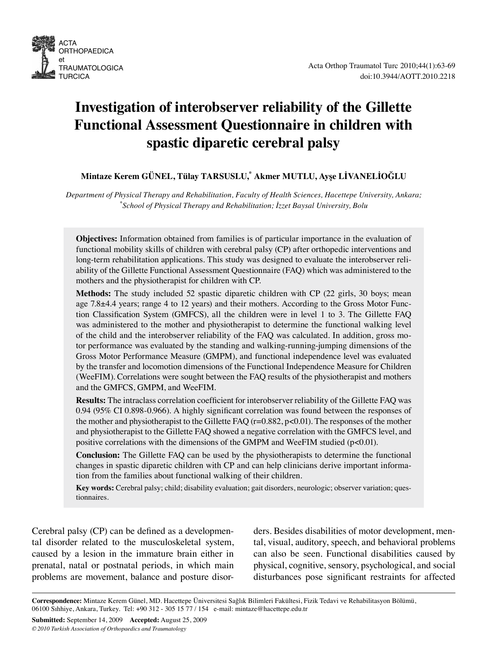

# **Investigation of interobserver reliability of the Gillette Functional Assessment Questionnaire in children with spastic diparetic cerebral palsy**

## **Mintaze Kerem GÜNEL, Tülay TARSUSLU,\* Akmer MUTLU, Ayşe LİVANELİOĞLU**

*Department of Physical Therapy and Rehabilitation, Faculty of Health Sciences, Hacettepe University, Ankara; \* School of Physical Therapy and Rehabilitation; İzzet Baysal University, Bolu*

**Objectives:** Information obtained from families is of particular importance in the evaluation of functional mobility skills of children with cerebral palsy (CP) after orthopedic interventions and long-term rehabilitation applications. This study was designed to evaluate the interobserver reliability of the Gillette Functional Assessment Questionnaire (FAQ) which was administered to the mothers and the physiotherapist for children with CP.

**Methods:** The study included 52 spastic diparetic children with CP (22 girls, 30 boys; mean age 7.8±4.4 years; range 4 to 12 years) and their mothers. According to the Gross Motor Function Classification System (GMFCS), all the children were in level 1 to 3. The Gillette FAQ was administered to the mother and physiotherapist to determine the functional walking level of the child and the interobserver reliability of the FAQ was calculated. In addition, gross motor performance was evaluated by the standing and walking-running-jumping dimensions of the Gross Motor Performance Measure (GMPM), and functional independence level was evaluated by the transfer and locomotion dimensions of the Functional Independence Measure for Children (WeeFIM). Correlations were sought between the FAQ results of the physiotherapist and mothers and the GMFCS, GMPM, and WeeFIM.

**Results:** The intraclass correlation coefficient for interobserver reliability of the Gillette FAQ was 0.94 (95% CI 0.898-0.966). A highly significant correlation was found between the responses of the mother and physiotherapist to the Gillette FAQ  $(r=0.882, p<0.01)$ . The responses of the mother and physiotherapist to the Gillette FAQ showed a negative correlation with the GMFCS level, and positive correlations with the dimensions of the GMPM and WeeFIM studied (p<0.01).

**Conclusion:** The Gillette FAQ can be used by the physiotherapists to determine the functional changes in spastic diparetic children with CP and can help clinicians derive important information from the families about functional walking of their children.

**Key words:** Cerebral palsy; child; disability evaluation; gait disorders, neurologic; observer variation; questionnaires.

Cerebral palsy (CP) can be defined as a developmental disorder related to the musculoskeletal system, caused by a lesion in the immature brain either in prenatal, natal or postnatal periods, in which main problems are movement, balance and posture disorders. Besides disabilities of motor development, mental, visual, auditory, speech, and behavioral problems can also be seen. Functional disabilities caused by physical, cognitive, sensory, psychological, and social disturbances pose significant restraints for affected

**Submitted:** September 14, 2009 **Accepted:** August 25, 2009 *© 2010 Turkish Association of Orthopaedics and Traumatology*

ACTA

**TURCICA** 

et

**ORTHOPAEDICA** 

**TRAUMATOLOGICA** 

**Correspondence:** Mintaze Kerem Günel, MD. Hacettepe Üniversitesi Sağlık Bilimleri Fakültesi, Fizik Tedavi ve Rehabilitasyon Bölümü, 06100 Sıhhiye, Ankara, Turkey. Tel: +90 312 - 305 15 77 / 154 e-mail: mintaze@hacettepe.edu.tr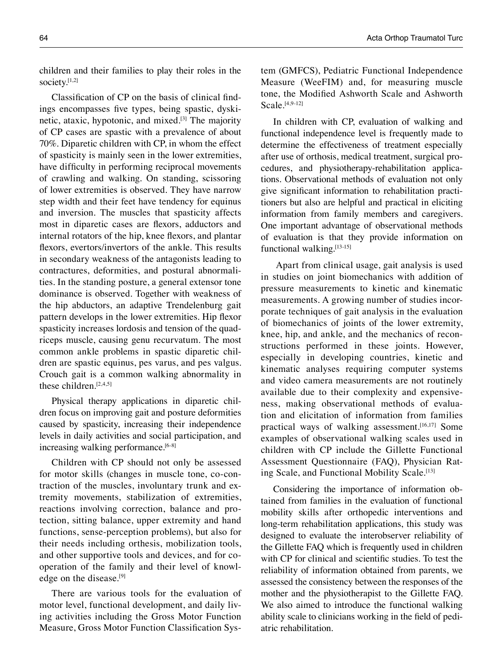Classification of CP on the basis of clinical findings encompasses five types, being spastic, dyskinetic, ataxic, hypotonic, and mixed.[3] The majority of CP cases are spastic with a prevalence of about 70%. Diparetic children with CP, in whom the effect of spasticity is mainly seen in the lower extremities, have difficulty in performing reciprocal movements of crawling and walking. On standing, scissoring of lower extremities is observed. They have narrow step width and their feet have tendency for equinus and inversion. The muscles that spasticity affects most in diparetic cases are flexors, adductors and internal rotators of the hip, knee flexors, and plantar flexors, evertors/invertors of the ankle. This results in secondary weakness of the antagonists leading to contractures, deformities, and postural abnormalities. In the standing posture, a general extensor tone dominance is observed. Together with weakness of the hip abductors, an adaptive Trendelenburg gait pattern develops in the lower extremities. Hip flexor spasticity increases lordosis and tension of the quadriceps muscle, causing genu recurvatum. The most common ankle problems in spastic diparetic children are spastic equinus, pes varus, and pes valgus. Crouch gait is a common walking abnormality in these children. $[2,4,5]$ 

Physical therapy applications in diparetic children focus on improving gait and posture deformities caused by spasticity, increasing their independence levels in daily activities and social participation, and increasing walking performance.<sup>[6-8]</sup>

Children with CP should not only be assessed for motor skills (changes in muscle tone, co-contraction of the muscles, involuntary trunk and extremity movements, stabilization of extremities, reactions involving correction, balance and protection, sitting balance, upper extremity and hand functions, sense-perception problems), but also for their needs including orthesis, mobilization tools, and other supportive tools and devices, and for cooperation of the family and their level of knowledge on the disease.<sup>[9]</sup>

There are various tools for the evaluation of motor level, functional development, and daily living activities including the Gross Motor Function Measure, Gross Motor Function Classification System (GMFCS), Pediatric Functional Independence Measure (WeeFIM) and, for measuring muscle tone, the Modified Ashworth Scale and Ashworth Scale.[4,9-12]

In children with CP, evaluation of walking and functional independence level is frequently made to determine the effectiveness of treatment especially after use of orthosis, medical treatment, surgical procedures, and physiotherapy-rehabilitation applications. Observational methods of evaluation not only give significant information to rehabilitation practitioners but also are helpful and practical in eliciting information from family members and caregivers. One important advantage of observational methods of evaluation is that they provide information on functional walking.[13-15]

 Apart from clinical usage, gait analysis is used in studies on joint biomechanics with addition of pressure measurements to kinetic and kinematic measurements. A growing number of studies incorporate techniques of gait analysis in the evaluation of biomechanics of joints of the lower extremity, knee, hip, and ankle, and the mechanics of reconstructions performed in these joints. However, especially in developing countries, kinetic and kinematic analyses requiring computer systems and video camera measurements are not routinely available due to their complexity and expensiveness, making observational methods of evaluation and elicitation of information from families practical ways of walking assessment.<sup>[16,17]</sup> Some examples of observational walking scales used in children with CP include the Gillette Functional Assessment Questionnaire (FAQ), Physician Rating Scale, and Functional Mobility Scale.<sup>[13]</sup>

Considering the importance of information obtained from families in the evaluation of functional mobility skills after orthopedic interventions and long-term rehabilitation applications, this study was designed to evaluate the interobserver reliability of the Gillette FAQ which is frequently used in children with CP for clinical and scientific studies. To test the reliability of information obtained from parents, we assessed the consistency between the responses of the mother and the physiotherapist to the Gillette FAQ. We also aimed to introduce the functional walking ability scale to clinicians working in the field of pediatric rehabilitation.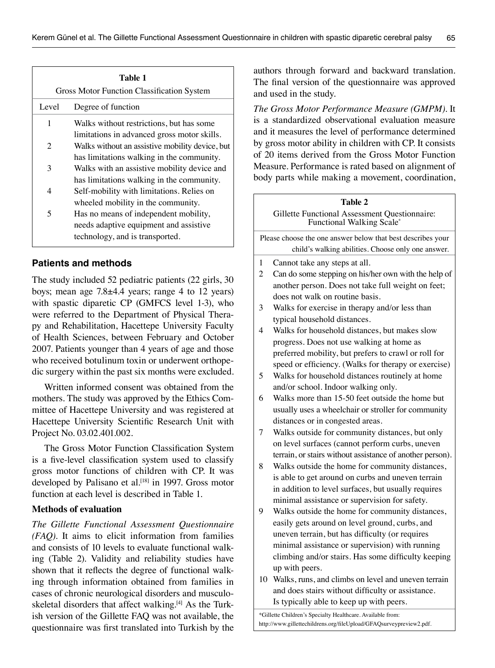| Table 1<br><b>Gross Motor Function Classification System</b> |                                                                                                |  |  |  |  |
|--------------------------------------------------------------|------------------------------------------------------------------------------------------------|--|--|--|--|
| Level                                                        | Degree of function                                                                             |  |  |  |  |
| 1                                                            | Walks without restrictions, but has some                                                       |  |  |  |  |
| 2                                                            | limitations in advanced gross motor skills.<br>Walks without an assistive mobility device, but |  |  |  |  |
| 3                                                            | has limitations walking in the community.<br>Walks with an assistive mobility device and       |  |  |  |  |
|                                                              | has limitations walking in the community.                                                      |  |  |  |  |
| 4                                                            | Self-mobility with limitations. Relies on<br>wheeled mobility in the community.                |  |  |  |  |
| 5                                                            | Has no means of independent mobility,                                                          |  |  |  |  |
|                                                              | needs adaptive equipment and assistive<br>technology, and is transported.                      |  |  |  |  |

## **Patients and methods**

The study included 52 pediatric patients (22 girls, 30 boys; mean age 7.8±4.4 years; range 4 to 12 years) with spastic diparetic CP (GMFCS level 1-3), who were referred to the Department of Physical Therapy and Rehabilitation, Hacettepe University Faculty of Health Sciences, between February and October 2007. Patients younger than 4 years of age and those who received botulinum toxin or underwent orthopedic surgery within the past six months were excluded.

Written informed consent was obtained from the mothers. The study was approved by the Ethics Committee of Hacettepe University and was registered at Hacettepe University Scientific Research Unit with Project No. 03.02.401.002.

The Gross Motor Function Classification System is a five-level classification system used to classify gross motor functions of children with CP. It was developed by Palisano et al.<sup>[18]</sup> in 1997. Gross motor function at each level is described in Table 1.

## **Methods of evaluation**

*The Gillette Functional Assessment Questionnaire (FAQ).* It aims to elicit information from families and consists of 10 levels to evaluate functional walking (Table 2). Validity and reliability studies have shown that it reflects the degree of functional walking through information obtained from families in cases of chronic neurological disorders and musculoskeletal disorders that affect walking.<sup>[4]</sup> As the Turkish version of the Gillette FAQ was not available, the questionnaire was first translated into Turkish by the authors through forward and backward translation. The final version of the questionnaire was approved and used in the study.

*The Gross Motor Performance Measure (GMPM).* It is a standardized observational evaluation measure and it measures the level of performance determined by gross motor ability in children with CP. It consists of 20 items derived from the Gross Motor Function Measure. Performance is rated based on alignment of body parts while making a movement, coordination,

| Table 2                                                                                                                           |                                                                                                             |  |  |  |  |  |
|-----------------------------------------------------------------------------------------------------------------------------------|-------------------------------------------------------------------------------------------------------------|--|--|--|--|--|
| Gillette Functional Assessment Questionnaire:<br>Functional Walking Scale*                                                        |                                                                                                             |  |  |  |  |  |
| Please choose the one answer below that best describes your                                                                       |                                                                                                             |  |  |  |  |  |
| child's walking abilities. Choose only one answer.                                                                                |                                                                                                             |  |  |  |  |  |
| 1                                                                                                                                 | Cannot take any steps at all.                                                                               |  |  |  |  |  |
| 2                                                                                                                                 | Can do some stepping on his/her own with the help of                                                        |  |  |  |  |  |
|                                                                                                                                   | another person. Does not take full weight on feet;                                                          |  |  |  |  |  |
|                                                                                                                                   | does not walk on routine basis.                                                                             |  |  |  |  |  |
| 3                                                                                                                                 | Walks for exercise in therapy and/or less than                                                              |  |  |  |  |  |
|                                                                                                                                   | typical household distances.                                                                                |  |  |  |  |  |
| 4                                                                                                                                 | Walks for household distances, but makes slow                                                               |  |  |  |  |  |
|                                                                                                                                   | progress. Does not use walking at home as                                                                   |  |  |  |  |  |
|                                                                                                                                   | preferred mobility, but prefers to crawl or roll for                                                        |  |  |  |  |  |
|                                                                                                                                   | speed or efficiency. (Walks for therapy or exercise)                                                        |  |  |  |  |  |
| 5                                                                                                                                 | Walks for household distances routinely at home                                                             |  |  |  |  |  |
|                                                                                                                                   | and/or school. Indoor walking only.                                                                         |  |  |  |  |  |
| 6                                                                                                                                 | Walks more than 15-50 feet outside the home but                                                             |  |  |  |  |  |
|                                                                                                                                   | usually uses a wheelchair or stroller for community                                                         |  |  |  |  |  |
|                                                                                                                                   | distances or in congested areas.                                                                            |  |  |  |  |  |
| 7                                                                                                                                 | Walks outside for community distances, but only                                                             |  |  |  |  |  |
|                                                                                                                                   | on level surfaces (cannot perform curbs, uneven                                                             |  |  |  |  |  |
|                                                                                                                                   | terrain, or stairs without assistance of another person).                                                   |  |  |  |  |  |
| 8                                                                                                                                 | Walks outside the home for community distances,                                                             |  |  |  |  |  |
|                                                                                                                                   | is able to get around on curbs and uneven terrain                                                           |  |  |  |  |  |
|                                                                                                                                   | in addition to level surfaces, but usually requires                                                         |  |  |  |  |  |
|                                                                                                                                   | minimal assistance or supervision for safety.                                                               |  |  |  |  |  |
| 9                                                                                                                                 | Walks outside the home for community distances,                                                             |  |  |  |  |  |
|                                                                                                                                   | easily gets around on level ground, curbs, and                                                              |  |  |  |  |  |
|                                                                                                                                   | uneven terrain, but has difficulty (or requires                                                             |  |  |  |  |  |
|                                                                                                                                   | minimal assistance or supervision) with running                                                             |  |  |  |  |  |
|                                                                                                                                   | climbing and/or stairs. Has some difficulty keeping                                                         |  |  |  |  |  |
|                                                                                                                                   | up with peers.                                                                                              |  |  |  |  |  |
|                                                                                                                                   | 10 Walks, runs, and climbs on level and uneven terrain<br>and does stairs without difficulty or assistance. |  |  |  |  |  |
|                                                                                                                                   | Is typically able to keep up with peers.                                                                    |  |  |  |  |  |
|                                                                                                                                   |                                                                                                             |  |  |  |  |  |
| *Gillette Children's Specialty Healthcare. Available from:<br>http://www.gillettechildrens.org/fileUpload/GFAQsurveypreview2.pdf. |                                                                                                             |  |  |  |  |  |
|                                                                                                                                   |                                                                                                             |  |  |  |  |  |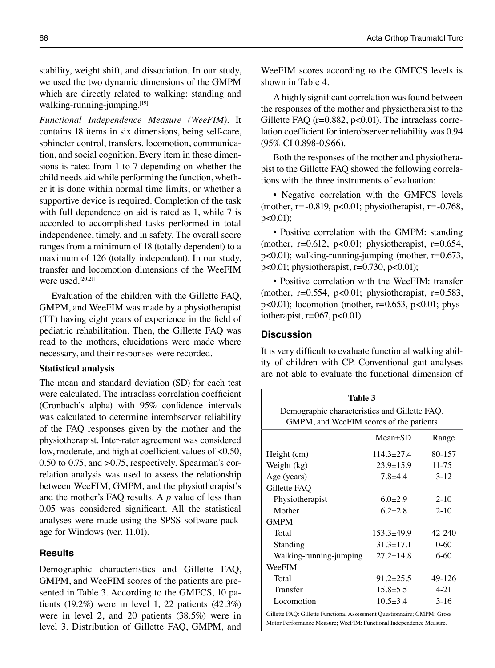stability, weight shift, and dissociation. In our study, we used the two dynamic dimensions of the GMPM which are directly related to walking: standing and walking-running-jumping.<sup>[19]</sup>

*Functional Independence Measure (WeeFIM).* It contains 18 items in six dimensions, being self-care, sphincter control, transfers, locomotion, communication, and social cognition. Every item in these dimensions is rated from 1 to 7 depending on whether the child needs aid while performing the function, whether it is done within normal time limits, or whether a supportive device is required. Completion of the task with full dependence on aid is rated as 1, while 7 is accorded to accomplished tasks performed in total independence, timely, and in safety. The overall score ranges from a minimum of 18 (totally dependent) to a maximum of 126 (totally independent). In our study, transfer and locomotion dimensions of the WeeFIM were used.<sup>[20,21]</sup>

Evaluation of the children with the Gillette FAQ, GMPM, and WeeFIM was made by a physiotherapist (TT) having eight years of experience in the field of pediatric rehabilitation. Then, the Gillette FAQ was read to the mothers, elucidations were made where necessary, and their responses were recorded.

#### **Statistical analysis**

The mean and standard deviation (SD) for each test were calculated. The intraclass correlation coefficient (Cronbach's alpha) with 95% confidence intervals was calculated to determine interobserver reliability of the FAQ responses given by the mother and the physiotherapist. Inter-rater agreement was considered low, moderate, and high at coefficient values of <0.50, 0.50 to 0.75, and >0.75, respectively. Spearman's correlation analysis was used to assess the relationship between WeeFIM, GMPM, and the physiotherapist's and the mother's FAQ results. A *p* value of less than 0.05 was considered significant. All the statistical analyses were made using the SPSS software package for Windows (ver. 11.01).

## **Results**

Demographic characteristics and Gillette FAQ, GMPM, and WeeFIM scores of the patients are presented in Table 3. According to the GMFCS, 10 patients  $(19.2\%)$  were in level 1, 22 patients  $(42.3\%)$ were in level 2, and 20 patients (38.5%) were in level 3. Distribution of Gillette FAQ, GMPM, and WeeFIM scores according to the GMFCS levels is shown in Table 4.

A highly significant correlation was found between the responses of the mother and physiotherapist to the Gillette FAQ ( $r=0.882$ ,  $p<0.01$ ). The intraclass correlation coefficient for interobserver reliability was 0.94 (95% CI 0.898-0.966).

Both the responses of the mother and physiotherapist to the Gillette FAQ showed the following correlations with the three instruments of evaluation:

• Negative correlation with the GMFCS levels (mother, r= $-0.819$ , p<0.01; physiotherapist, r= $-0.768$ , p<0.01);

• Positive correlation with the GMPM: standing (mother,  $r=0.612$ ,  $p<0.01$ ; physiotherapist,  $r=0.654$ , p<0.01); walking-running-jumping (mother, r=0.673,  $p<0.01$ ; physiotherapist,  $r=0.730$ ,  $p<0.01$ );

• Positive correlation with the WeeFIM: transfer (mother,  $r=0.554$ ,  $p<0.01$ ; physiotherapist,  $r=0.583$ ,  $p<0.01$ ); locomotion (mother,  $r=0.653$ ,  $p<0.01$ ; physiotherapist,  $r=067$ ,  $p<0.01$ ).

## **Discussion**

It is very difficult to evaluate functional walking ability of children with CP. Conventional gait analyses are not able to evaluate the functional dimension of

| Table 3<br>Demographic characteristics and Gillette FAQ,<br>GMPM, and WeeFIM scores of the patients                                            |                 |           |  |  |  |  |
|------------------------------------------------------------------------------------------------------------------------------------------------|-----------------|-----------|--|--|--|--|
|                                                                                                                                                | $Mean \pm SD$   | Range     |  |  |  |  |
| Height (cm)                                                                                                                                    | $114.3 + 27.4$  | 80-157    |  |  |  |  |
| Weight (kg)                                                                                                                                    | $23.9 + 15.9$   | $11 - 75$ |  |  |  |  |
| Age (years)                                                                                                                                    | $7.8 + 4.4$     | $3 - 12$  |  |  |  |  |
| Gillette FAQ                                                                                                                                   |                 |           |  |  |  |  |
| Physiotherapist                                                                                                                                | $6.0+2.9$       | $2 - 10$  |  |  |  |  |
| Mother                                                                                                                                         | $62+28$         | $2 - 10$  |  |  |  |  |
| <b>GMPM</b>                                                                                                                                    |                 |           |  |  |  |  |
| Total                                                                                                                                          | $153.3+49.9$    | 42-240    |  |  |  |  |
| Standing                                                                                                                                       | $31.3 + 17.1$   | $0 - 60$  |  |  |  |  |
| Walking-running-jumping                                                                                                                        | $27.2 \pm 14.8$ | $6-60$    |  |  |  |  |
| WeeFIM                                                                                                                                         |                 |           |  |  |  |  |
| Total                                                                                                                                          | $91.2 \pm 25.5$ | 49-126    |  |  |  |  |
| Transfer                                                                                                                                       | $15.8 + 5.5$    | $4 - 21$  |  |  |  |  |
| Locomotion                                                                                                                                     | $10.5 \pm 3.4$  | $3-16$    |  |  |  |  |
| Gillette FAQ: Gillette Functional Assessment Questionnaire; GMPM: Gross<br>Motor Performance Measure; WeeFIM: Functional Independence Measure. |                 |           |  |  |  |  |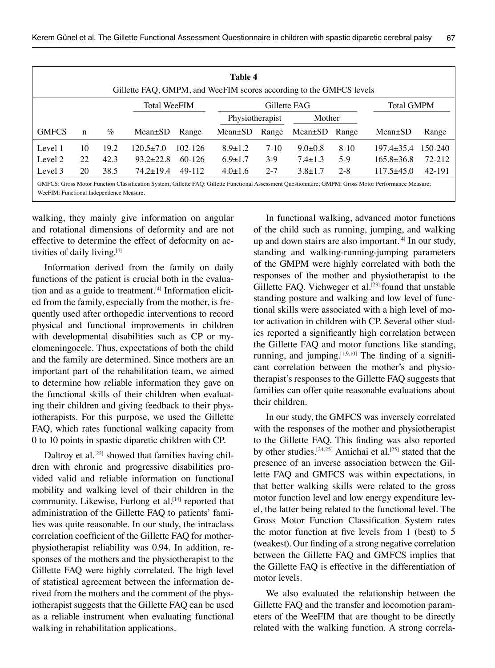| Table 4<br>Gillette FAQ, GMPM, and WeeFIM scores according to the GMFCS levels                                                                        |    |      |                     |          |                 |         |               |                   |                  |         |  |
|-------------------------------------------------------------------------------------------------------------------------------------------------------|----|------|---------------------|----------|-----------------|---------|---------------|-------------------|------------------|---------|--|
|                                                                                                                                                       |    |      | <b>Total WeeFIM</b> |          | Gillette FAG    |         |               | <b>Total GMPM</b> |                  |         |  |
|                                                                                                                                                       |    |      |                     |          | Physiotherapist |         | Mother        |                   |                  |         |  |
| <b>GMFCS</b>                                                                                                                                          | n  | $\%$ | $Mean \pm SD$       | Range    | $Mean \pm SD$   | Range   | Mean±SD Range |                   | $Mean \pm SD$    | Range   |  |
| Level 1                                                                                                                                               | 10 | 19.2 | $120.5 + 7.0$       | 102-126  | $8.9 \pm 1.2$   | $7-10$  | $9.0 \pm 0.8$ | $8 - 10$          | $197.4 + 35.4$   | 150-240 |  |
| Level 2                                                                                                                                               | 22 | 42.3 | $93.2 \pm 22.8$     | $60-126$ | $6.9 \pm 1.7$   | $3-9$   | $7.4 \pm 1.3$ | $5-9$             | $165.8 \pm 36.8$ | 72-212  |  |
| Level 3                                                                                                                                               | 20 | 38.5 | $74.2 + 19.4$       | 49-112   | $4.0 \pm 1.6$   | $2 - 7$ | $3.8 \pm 1.7$ | $2 - 8$           | $117.5+45.0$     | 42-191  |  |
| GMFCS: Gross Motor Function Classification System; Gillette FAQ: Gillette Functional Assessment Questionnaire; GMPM: Gross Motor Performance Measure; |    |      |                     |          |                 |         |               |                   |                  |         |  |

WeeFIM: Functional Independence Measure.

walking, they mainly give information on angular and rotational dimensions of deformity and are not effective to determine the effect of deformity on activities of daily living.[4]

Information derived from the family on daily functions of the patient is crucial both in the evaluation and as a guide to treatment. $[4]$  Information elicited from the family, especially from the mother, is frequently used after orthopedic interventions to record physical and functional improvements in children with developmental disabilities such as CP or myelomeningocele. Thus, expectations of both the child and the family are determined. Since mothers are an important part of the rehabilitation team, we aimed to determine how reliable information they gave on the functional skills of their children when evaluating their children and giving feedback to their physiotherapists. For this purpose, we used the Gillette FAQ, which rates functional walking capacity from 0 to 10 points in spastic diparetic children with CP.

Daltroy et al.<sup>[22]</sup> showed that families having children with chronic and progressive disabilities provided valid and reliable information on functional mobility and walking level of their children in the community. Likewise, Furlong et al.<sup>[14]</sup> reported that administration of the Gillette FAQ to patients' families was quite reasonable. In our study, the intraclass correlation coefficient of the Gillette FAQ for motherphysiotherapist reliability was 0.94. In addition, responses of the mothers and the physiotherapist to the Gillette FAQ were highly correlated. The high level of statistical agreement between the information derived from the mothers and the comment of the physiotherapist suggests that the Gillette FAQ can be used as a reliable instrument when evaluating functional walking in rehabilitation applications.

In functional walking, advanced motor functions of the child such as running, jumping, and walking up and down stairs are also important.<sup>[4]</sup> In our study, standing and walking-running-jumping parameters of the GMPM were highly correlated with both the responses of the mother and physiotherapist to the Gillette FAQ. Viehweger et al.<sup>[23]</sup> found that unstable standing posture and walking and low level of functional skills were associated with a high level of motor activation in children with CP. Several other studies reported a significantly high correlation between the Gillette FAQ and motor functions like standing, running, and jumping. $[1,9,10]$  The finding of a significant correlation between the mother's and physiotherapist's responses to the Gillette FAQ suggests that families can offer quite reasonable evaluations about their children.

In our study, the GMFCS was inversely correlated with the responses of the mother and physiotherapist to the Gillette FAQ. This finding was also reported by other studies.<sup>[24,25]</sup> Amichai et al.<sup>[25]</sup> stated that the presence of an inverse association between the Gillette FAQ and GMFCS was within expectations, in that better walking skills were related to the gross motor function level and low energy expenditure level, the latter being related to the functional level. The Gross Motor Function Classification System rates the motor function at five levels from 1 (best) to 5 (weakest). Our finding of a strong negative correlation between the Gillette FAQ and GMFCS implies that the Gillette FAQ is effective in the differentiation of motor levels.

We also evaluated the relationship between the Gillette FAQ and the transfer and locomotion parameters of the WeeFIM that are thought to be directly related with the walking function. A strong correla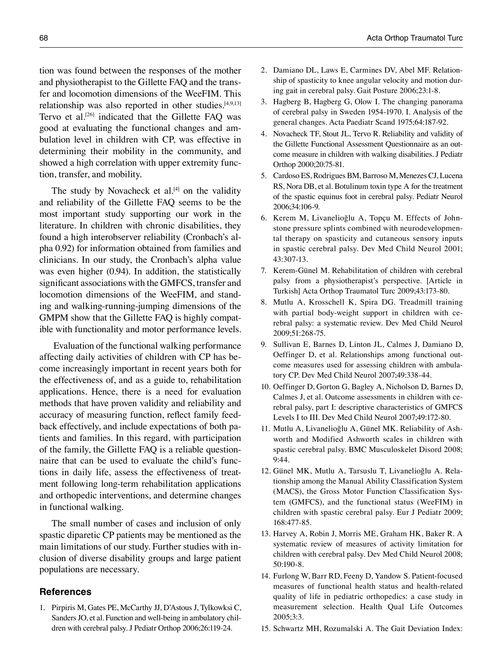tion was found between the responses of the mother and physiotherapist to the Gillette FAQ and the transfer and locomotion dimensions of the WeeFIM. This relationship was also reported in other studies.<sup>[4,9,13]</sup> Tervo et al.<sup>[26]</sup> indicated that the Gillette FAO was good at evaluating the functional changes and ambulation level in children with CP, was effective in determining their mobility in the community, and showed a high correlation with upper extremity function, transfer, and mobility.

The study by Novacheck et al. $[4]$  on the validity and reliability of the Gillette FAQ seems to be the most important study supporting our work in the literature. In children with chronic disabilities, they found a high interobserver reliability (Cronbach's alpha 0.92) for information obtained from families and clinicians. In our study, the Cronbach's alpha value was even higher (0.94). In addition, the statistically significant associations with the GMFCS, transfer and locomotion dimensions of the WeeFIM, and standing and walking-running-jumping dimensions of the GMPM show that the Gillette FAQ is highly compatible with functionality and motor performance levels.

 Evaluation of the functional walking performance affecting daily activities of children with CP has become increasingly important in recent years both for the effectiveness of, and as a guide to, rehabilitation applications. Hence, there is a need for evaluation methods that have proven validity and reliability and accuracy of measuring function, reflect family feedback effectively, and include expectations of both patients and families. In this regard, with participation of the family, the Gillette FAQ is a reliable questionnaire that can be used to evaluate the child's functions in daily life, assess the effectiveness of treatment following long-term rehabilitation applications and orthopedic interventions, and determine changes in functional walking.

The small number of cases and inclusion of only spastic diparetic CP patients may be mentioned as the main limitations of our study. Further studies with inclusion of diverse disability groups and large patient populations are necessary.

## **References**

1. Pirpiris M, Gates PE, McCarthy JJ, D'Astous J, Tylkowksi C, Sanders JO, et al. Function and well-being in ambulatory children with cerebral palsy. J Pediatr Orthop 2006;26:119-24.

- 2. Damiano DL, Laws E, Carmines DV, Abel MF. Relationship of spasticity to knee angular velocity and motion during gait in cerebral palsy. Gait Posture 2006;23:1-8.
- 3. Hagberg B, Hagberg G, Olow I. The changing panorama of cerebral palsy in Sweden 1954-1970. I. Analysis of the general changes. Acta Paediatr Scand 1975;64:187-92.
- 4. Novacheck TF, Stout JL, Tervo R. Reliability and validity of the Gillette Functional Assessment Questionnaire as an outcome measure in children with walking disabilities. J Pediatr Orthop 2000;20:75-81.
- 5. Cardoso ES, Rodrigues BM, Barroso M, Menezes CJ, Lucena RS, Nora DB, et al. Botulinum toxin type A for the treatment of the spastic equinus foot in cerebral palsy. Pediatr Neurol 2006;34:106-9.
- 6. Kerem M, Livanelioğlu A, Topçu M. Effects of Johnstone pressure splints combined with neurodevelopmental therapy on spasticity and cutaneous sensory inputs in spastic cerebral palsy. Dev Med Child Neurol 2001; 43:307-13.
- 7. Kerem-Günel M. Rehabilitation of children with cerebral palsy from a physiotherapist's perspective. [Article in Turkish] Acta Orthop Traumatol Turc 2009;43:173-80.
- 8. Mutlu A, Krosschell K, Spira DG. Treadmill training with partial body-weight support in children with cerebral palsy: a systematic review. Dev Med Child Neurol 2009;51:268-75.
- 9. Sullivan E, Barnes D, Linton JL, Calmes J, Damiano D, Oeffinger D, et al. Relationships among functional outcome measures used for assessing children with ambulatory CP. Dev Med Child Neurol 2007;49:338-44.
- 10. Oeffinger D, Gorton G, Bagley A, Nicholson D, Barnes D, Calmes J, et al. Outcome assessments in children with cerebral palsy, part I: descriptive characteristics of GMFCS Levels I to III. Dev Med Child Neurol 2007;49:172-80.
- 11. Mutlu A, Livanelioğlu A, Günel MK. Reliability of Ashworth and Modified Ashworth scales in children with spastic cerebral palsy. BMC Musculoskelet Disord 2008; 9:44.
- 12. Günel MK, Mutlu A, Tarsuslu T, Livanelioğlu A. Relationship among the Manual Ability Classification System (MACS), the Gross Motor Function Classification System (GMFCS), and the functional status (WeeFIM) in children with spastic cerebral palsy. Eur J Pediatr 2009; 168:477-85.
- 13. Harvey A, Robin J, Morris ME, Graham HK, Baker R. A systematic review of measures of activity limitation for children with cerebral palsy. Dev Med Child Neurol 2008; 50:190-8.
- 14. Furlong W, Barr RD, Feeny D, Yandow S. Patient-focused measures of functional health status and health-related quality of life in pediatric orthopedics: a case study in measurement selection. Health Qual Life Outcomes 2005;3:3.
- 15. Schwartz MH, Rozumalski A. The Gait Deviation Index: